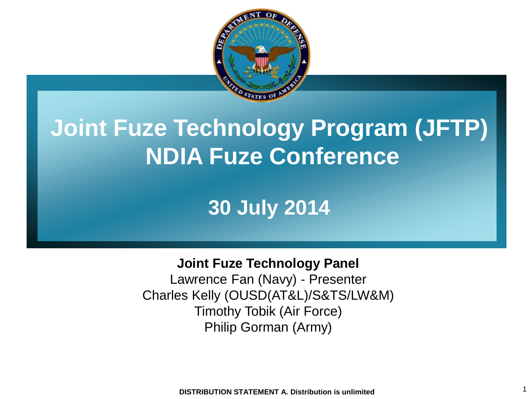

### **Joint Fuze Technology Program (JFTP) NDIA Fuze Conference**

### **30 July 2014**

#### **Joint Fuze Technology Panel**

Lawrence Fan (Navy) - Presenter Charles Kelly (OUSD(AT&L)/S&TS/LW&M) Timothy Tobik (Air Force) Philip Gorman (Army)

1 **DISTRIBUTION STATEMENT A. Distribution is unlimited**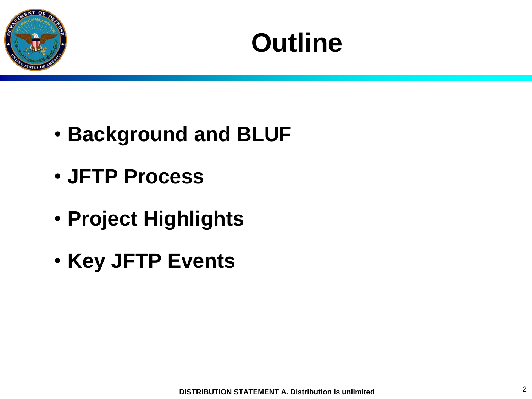

## **Outline**

- **Background and BLUF**
- **JFTP Process**
- **Project Highlights**
- **Key JFTP Events**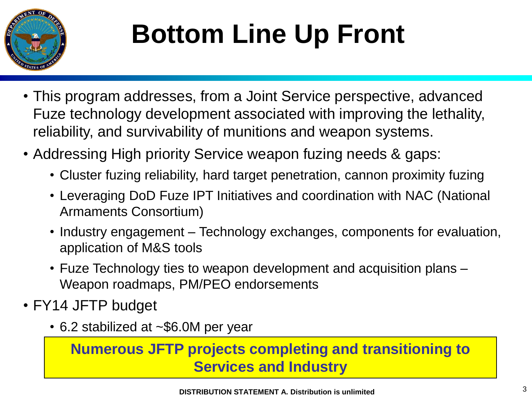

# **Bottom Line Up Front**

- This program addresses, from a Joint Service perspective, advanced Fuze technology development associated with improving the lethality, reliability, and survivability of munitions and weapon systems.
- Addressing High priority Service weapon fuzing needs & gaps:
	- Cluster fuzing reliability, hard target penetration, cannon proximity fuzing
	- Leveraging DoD Fuze IPT Initiatives and coordination with NAC (National Armaments Consortium)
	- Industry engagement Technology exchanges, components for evaluation, application of M&S tools
	- Fuze Technology ties to weapon development and acquisition plans Weapon roadmaps, PM/PEO endorsements
- FY14 JFTP budget
	- 6.2 stabilized at ~\$6.0M per year

**Numerous JFTP projects completing and transitioning to Services and Industry**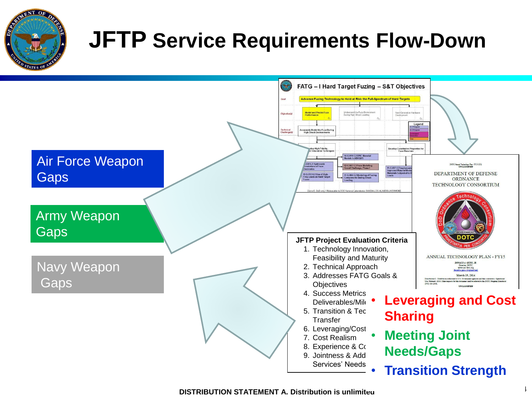

### **JFTP Service Requirements Flow-Down**

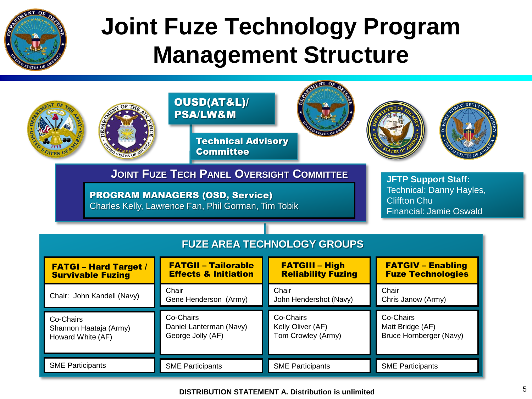

## **Joint Fuze Technology Program Management Structure**

|                                                                                                                                                                                                                                                                      | OUSD(AT&L)/<br><b>PSA/LW&amp;M</b><br><b>Technical Advisory</b> |                                                      | DEFE                                                     |  |  |
|----------------------------------------------------------------------------------------------------------------------------------------------------------------------------------------------------------------------------------------------------------------------|-----------------------------------------------------------------|------------------------------------------------------|----------------------------------------------------------|--|--|
|                                                                                                                                                                                                                                                                      | <b>Committee</b>                                                |                                                      |                                                          |  |  |
| <b>JOINT FUZE TECH PANEL OVERSIGHT COMMITTEE</b><br><b>JFTP Support Staff:</b><br>Technical: Danny Hayles,<br><b>PROGRAM MANAGERS (OSD, Service)</b><br><b>Cliffton Chu</b><br>Charles Kelly, Lawrence Fan, Phil Gorman, Tim Tobik<br><b>Financial: Jamie Oswald</b> |                                                                 |                                                      |                                                          |  |  |
| <b>FUZE AREA TECHNOLOGY GROUPS</b>                                                                                                                                                                                                                                   |                                                                 |                                                      |                                                          |  |  |
| <b>FATGI - Hard Target /</b><br><b>Survivable Fuzing</b>                                                                                                                                                                                                             | <b>FATGII - Tailorable</b><br><b>Effects &amp; Initiation</b>   | <b>FATGIII - High</b><br><b>Reliability Fuzing</b>   | <b>FATGIV - Enabling</b><br><b>Fuze Technologies</b>     |  |  |
| Chair: John Kandell (Navy)                                                                                                                                                                                                                                           | Chair<br>Gene Henderson (Army)                                  | Chair<br>John Hendershot (Navy)                      | Chair<br>Chris Janow (Army)                              |  |  |
| Co-Chairs<br>Shannon Haataja (Army)<br>Howard White (AF)                                                                                                                                                                                                             | Co-Chairs<br>Daniel Lanterman (Navy)<br>George Jolly (AF)       | Co-Chairs<br>Kelly Oliver (AF)<br>Tom Crowley (Army) | Co-Chairs<br>Matt Bridge (AF)<br>Bruce Hornberger (Navy) |  |  |
| <b>SME Participants</b>                                                                                                                                                                                                                                              | <b>SME Participants</b>                                         | <b>SME Participants</b>                              | <b>SME Participants</b>                                  |  |  |

5 **DISTRIBUTION STATEMENT A. Distribution is unlimited**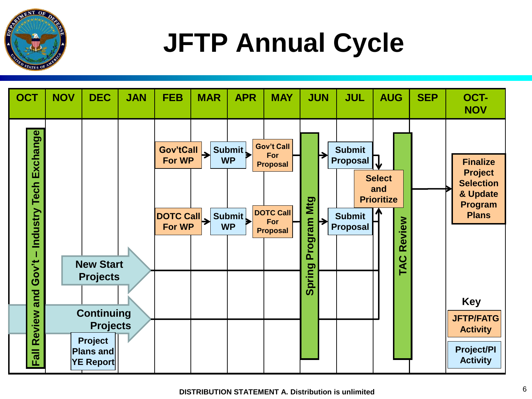

# **JFTP Annual Cycle**

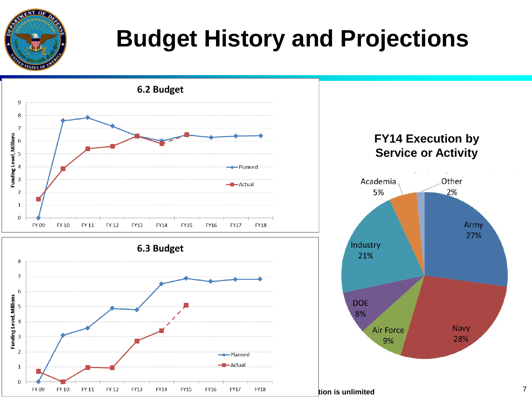

## **Budget History and Projections**



2%

Army

27%

**Navy** 

28%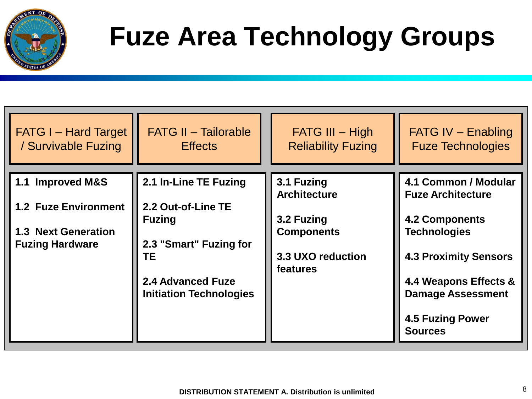

# **Fuze Area Technology Groups**

| <b>FATG I – Hard Target</b>                                                                             | <b>FATG II - Tailorable</b>                                                                                                                                | $FATG III - High$                                                                                     | <b>FATG IV - Enabling</b>                                                                                                                                                                                                          |
|---------------------------------------------------------------------------------------------------------|------------------------------------------------------------------------------------------------------------------------------------------------------------|-------------------------------------------------------------------------------------------------------|------------------------------------------------------------------------------------------------------------------------------------------------------------------------------------------------------------------------------------|
| / Survivable Fuzing                                                                                     | <b>Effects</b>                                                                                                                                             | <b>Reliability Fuzing</b>                                                                             | <b>Fuze Technologies</b>                                                                                                                                                                                                           |
| 1.1 Improved M&S<br><b>1.2 Fuze Environment</b><br><b>1.3 Next Generation</b><br><b>Fuzing Hardware</b> | 2.1 In-Line TE Fuzing<br>2.2 Out-of-Line TE<br><b>Fuzing</b><br>2.3 "Smart" Fuzing for<br>TЕ<br><b>2.4 Advanced Fuze</b><br><b>Initiation Technologies</b> | 3.1 Fuzing<br><b>Architecture</b><br>3.2 Fuzing<br><b>Components</b><br>3.3 UXO reduction<br>features | 4.1 Common / Modular<br><b>Fuze Architecture</b><br><b>4.2 Components</b><br><b>Technologies</b><br><b>4.3 Proximity Sensors</b><br>4.4 Weapons Effects &<br><b>Damage Assessment</b><br><b>4.5 Fuzing Power</b><br><b>Sources</b> |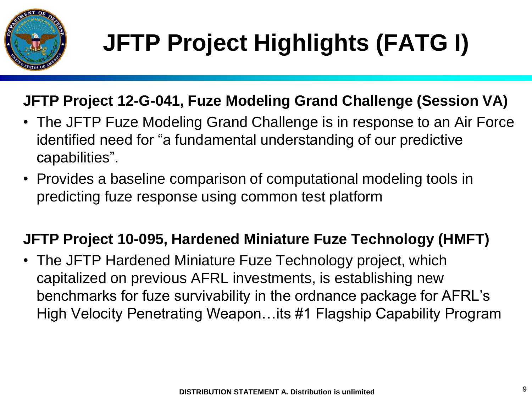

#### **JFTP Project 12-G-041, Fuze Modeling Grand Challenge (Session VA)**

- The JFTP Fuze Modeling Grand Challenge is in response to an Air Force identified need for "a fundamental understanding of our predictive capabilities".
- Provides a baseline comparison of computational modeling tools in predicting fuze response using common test platform

#### **JFTP Project 10-095, Hardened Miniature Fuze Technology (HMFT)**

• The JFTP Hardened Miniature Fuze Technology project, which capitalized on previous AFRL investments, is establishing new benchmarks for fuze survivability in the ordnance package for AFRL's High Velocity Penetrating Weapon…its #1 Flagship Capability Program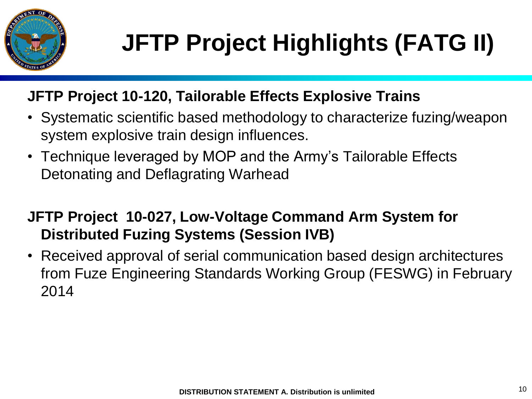

# **JFTP Project Highlights (FATG II)**

#### **JFTP Project 10-120, Tailorable Effects Explosive Trains**

- Systematic scientific based methodology to characterize fuzing/weapon system explosive train design influences.
- Technique leveraged by MOP and the Army's Tailorable Effects Detonating and Deflagrating Warhead

#### **JFTP Project 10-027, Low-Voltage Command Arm System for Distributed Fuzing Systems (Session IVB)**

• Received approval of serial communication based design architectures from Fuze Engineering Standards Working Group (FESWG) in February 2014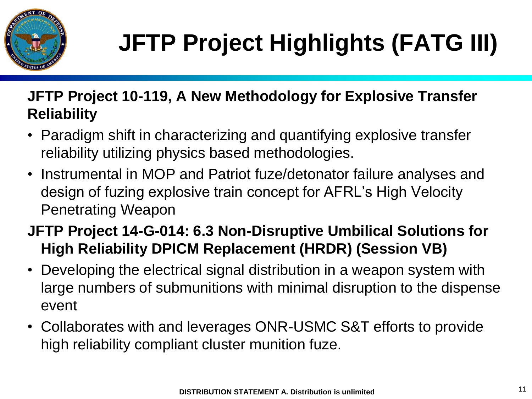

#### **JFTP Project 10-119, A New Methodology for Explosive Transfer Reliability**

- Paradigm shift in characterizing and quantifying explosive transfer reliability utilizing physics based methodologies.
- Instrumental in MOP and Patriot fuze/detonator failure analyses and design of fuzing explosive train concept for AFRL's High Velocity Penetrating Weapon

#### **JFTP Project 14-G-014: 6.3 Non-Disruptive Umbilical Solutions for High Reliability DPICM Replacement (HRDR) (Session VB)**

- Developing the electrical signal distribution in a weapon system with large numbers of submunitions with minimal disruption to the dispense event
- Collaborates with and leverages ONR-USMC S&T efforts to provide high reliability compliant cluster munition fuze.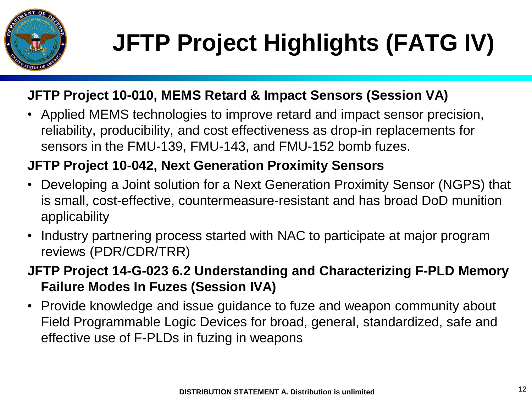

#### **JFTP Project 10-010, MEMS Retard & Impact Sensors (Session VA)**

• Applied MEMS technologies to improve retard and impact sensor precision, reliability, producibility, and cost effectiveness as drop-in replacements for sensors in the FMU-139, FMU-143, and FMU-152 bomb fuzes.

#### **JFTP Project 10-042, Next Generation Proximity Sensors**

- Developing a Joint solution for a Next Generation Proximity Sensor (NGPS) that is small, cost-effective, countermeasure-resistant and has broad DoD munition applicability
- Industry partnering process started with NAC to participate at major program reviews (PDR/CDR/TRR)
- **JFTP Project 14-G-023 6.2 Understanding and Characterizing F-PLD Memory Failure Modes In Fuzes (Session IVA)**
- Provide knowledge and issue guidance to fuze and weapon community about Field Programmable Logic Devices for broad, general, standardized, safe and effective use of F-PLDs in fuzing in weapons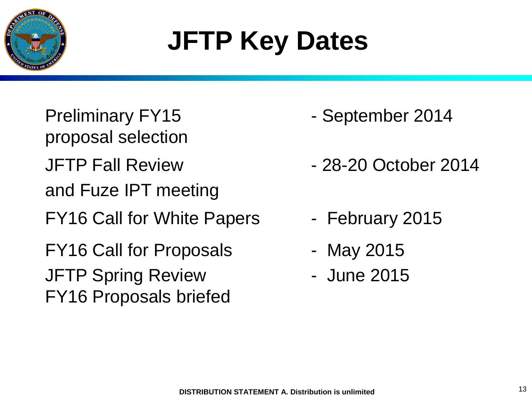

# **JFTP Key Dates**

Preliminary FY15 - September 2014 proposal selection JFTP Fall Review **- 28-20 October 2014** and Fuze IPT meeting FY16 Call for White Papers - February 2015 FY16 Call for Proposals - May 2015 JFTP Spring Review The Sune 2015 FY16 Proposals briefed

- 
- 
- 
- 
-